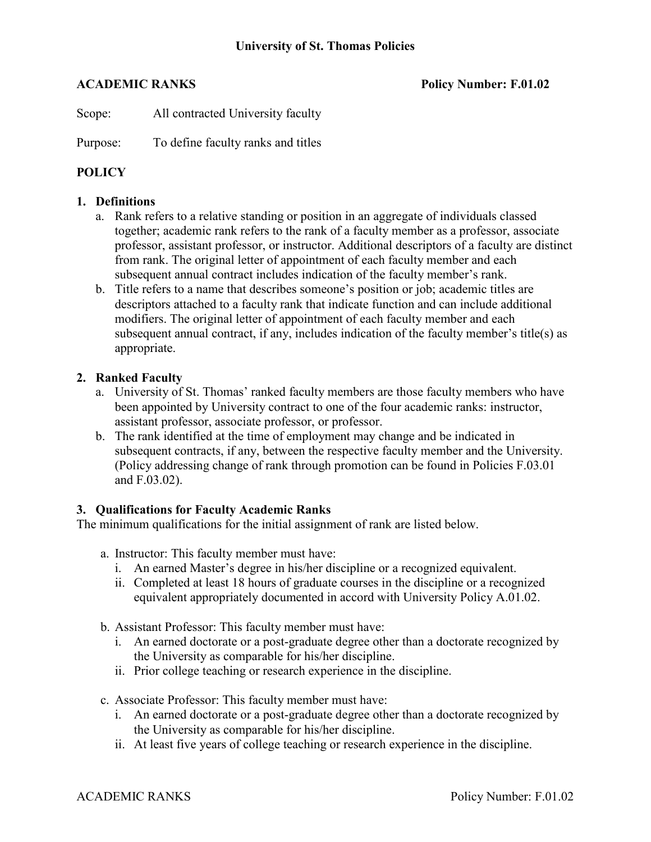**ACADEMIC RANKS Policy Number: F.01.02**

Scope: All contracted University faculty

Purpose: To define faculty ranks and titles

# **POLICY**

# **1. Definitions**

- a. Rank refers to a relative standing or position in an aggregate of individuals classed together; academic rank refers to the rank of a faculty member as a professor, associate professor, assistant professor, or instructor. Additional descriptors of a faculty are distinct from rank. The original letter of appointment of each faculty member and each subsequent annual contract includes indication of the faculty member's rank.
- b. Title refers to a name that describes someone's position or job; academic titles are descriptors attached to a faculty rank that indicate function and can include additional modifiers. The original letter of appointment of each faculty member and each subsequent annual contract, if any, includes indication of the faculty member's title(s) as appropriate.

### **2. Ranked Faculty**

- a. University of St. Thomas' ranked faculty members are those faculty members who have been appointed by University contract to one of the four academic ranks: instructor, assistant professor, associate professor, or professor.
- b. The rank identified at the time of employment may change and be indicated in subsequent contracts, if any, between the respective faculty member and the University. (Policy addressing change of rank through promotion can be found in Policies F.03.01 and F.03.02).

### **3. Qualifications for Faculty Academic Ranks**

The minimum qualifications for the initial assignment of rank are listed below.

- a. Instructor: This faculty member must have:
	- i. An earned Master's degree in his/her discipline or a recognized equivalent.
	- ii. Completed at least 18 hours of graduate courses in the discipline or a recognized equivalent appropriately documented in accord with University Policy A.01.02.
- b. Assistant Professor: This faculty member must have:
	- i. An earned doctorate or a post-graduate degree other than a doctorate recognized by the University as comparable for his/her discipline.
	- ii. Prior college teaching or research experience in the discipline.
- c. Associate Professor: This faculty member must have:
	- i. An earned doctorate or a post-graduate degree other than a doctorate recognized by the University as comparable for his/her discipline.
	- ii. At least five years of college teaching or research experience in the discipline.